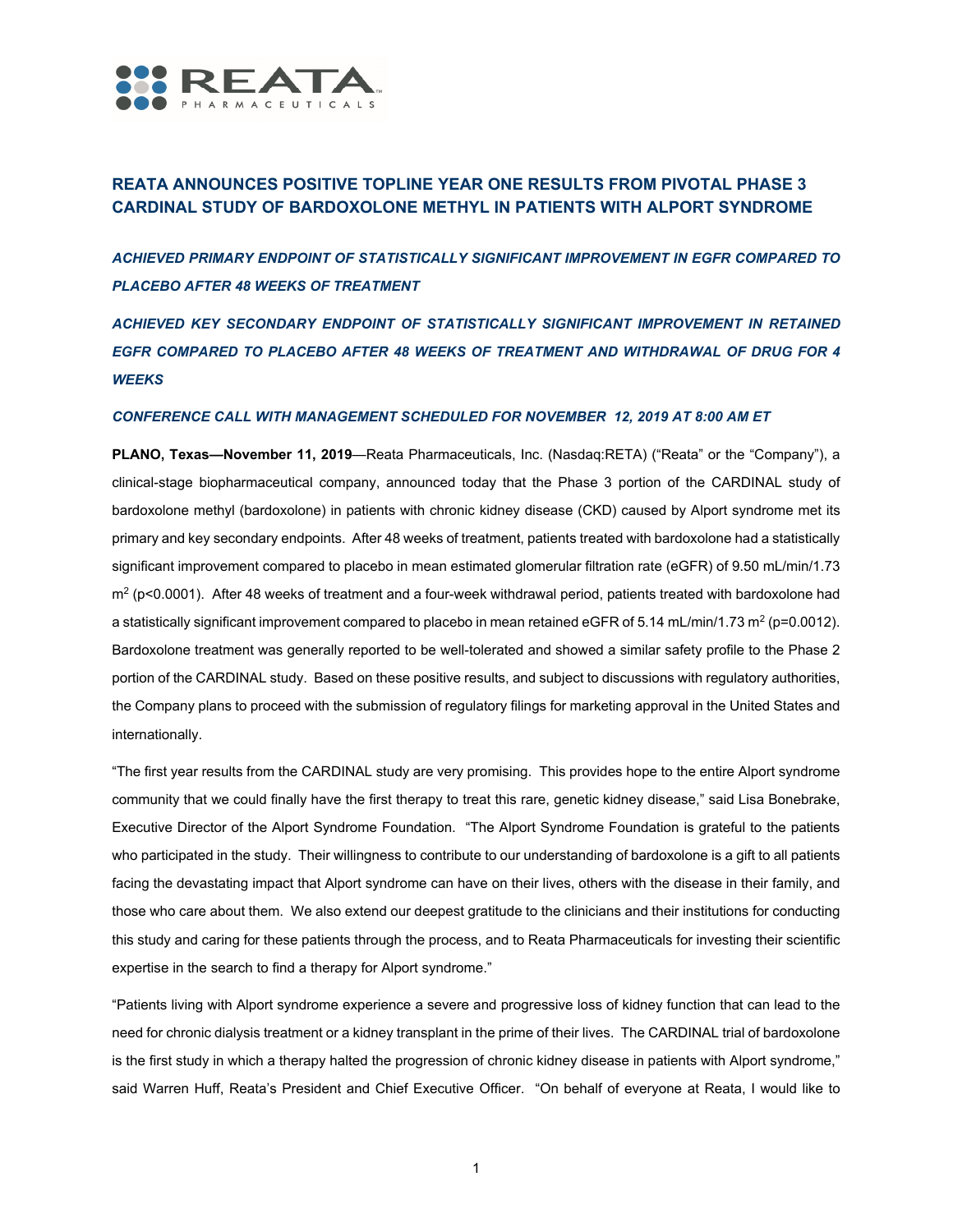

# **REATA ANNOUNCES POSITIVE TOPLINE YEAR ONE RESULTS FROM PIVOTAL PHASE 3 CARDINAL STUDY OF BARDOXOLONE METHYL IN PATIENTS WITH ALPORT SYNDROME**

*ACHIEVED PRIMARY ENDPOINT OF STATISTICALLY SIGNIFICANT IMPROVEMENT IN EGFR COMPARED TO PLACEBO AFTER 48 WEEKS OF TREATMENT* 

*ACHIEVED KEY SECONDARY ENDPOINT OF STATISTICALLY SIGNIFICANT IMPROVEMENT IN RETAINED EGFR COMPARED TO PLACEBO AFTER 48 WEEKS OF TREATMENT AND WITHDRAWAL OF DRUG FOR 4 WEEKS* 

# *CONFERENCE CALL WITH MANAGEMENT SCHEDULED FOR NOVEMBER 12, 2019 AT 8:00 AM ET*

**PLANO, Texas—November 11, 2019**—Reata Pharmaceuticals, Inc. (Nasdaq:RETA) ("Reata" or the "Company"), a clinical-stage biopharmaceutical company, announced today that the Phase 3 portion of the CARDINAL study of bardoxolone methyl (bardoxolone) in patients with chronic kidney disease (CKD) caused by Alport syndrome met its primary and key secondary endpoints. After 48 weeks of treatment, patients treated with bardoxolone had a statistically significant improvement compared to placebo in mean estimated glomerular filtration rate (eGFR) of 9.50 mL/min/1.73 m2 (p<0.0001). After 48 weeks of treatment and a four-week withdrawal period, patients treated with bardoxolone had a statistically significant improvement compared to placebo in mean retained eGFR of 5.14 mL/min/1.73 m<sup>2</sup> (p=0.0012). Bardoxolone treatment was generally reported to be well-tolerated and showed a similar safety profile to the Phase 2 portion of the CARDINAL study. Based on these positive results, and subject to discussions with regulatory authorities, the Company plans to proceed with the submission of regulatory filings for marketing approval in the United States and internationally.

"The first year results from the CARDINAL study are very promising. This provides hope to the entire Alport syndrome community that we could finally have the first therapy to treat this rare, genetic kidney disease," said Lisa Bonebrake, Executive Director of the Alport Syndrome Foundation. "The Alport Syndrome Foundation is grateful to the patients who participated in the study. Their willingness to contribute to our understanding of bardoxolone is a gift to all patients facing the devastating impact that Alport syndrome can have on their lives, others with the disease in their family, and those who care about them. We also extend our deepest gratitude to the clinicians and their institutions for conducting this study and caring for these patients through the process, and to Reata Pharmaceuticals for investing their scientific expertise in the search to find a therapy for Alport syndrome."

"Patients living with Alport syndrome experience a severe and progressive loss of kidney function that can lead to the need for chronic dialysis treatment or a kidney transplant in the prime of their lives. The CARDINAL trial of bardoxolone is the first study in which a therapy halted the progression of chronic kidney disease in patients with Alport syndrome," said Warren Huff, Reata's President and Chief Executive Officer. "On behalf of everyone at Reata, I would like to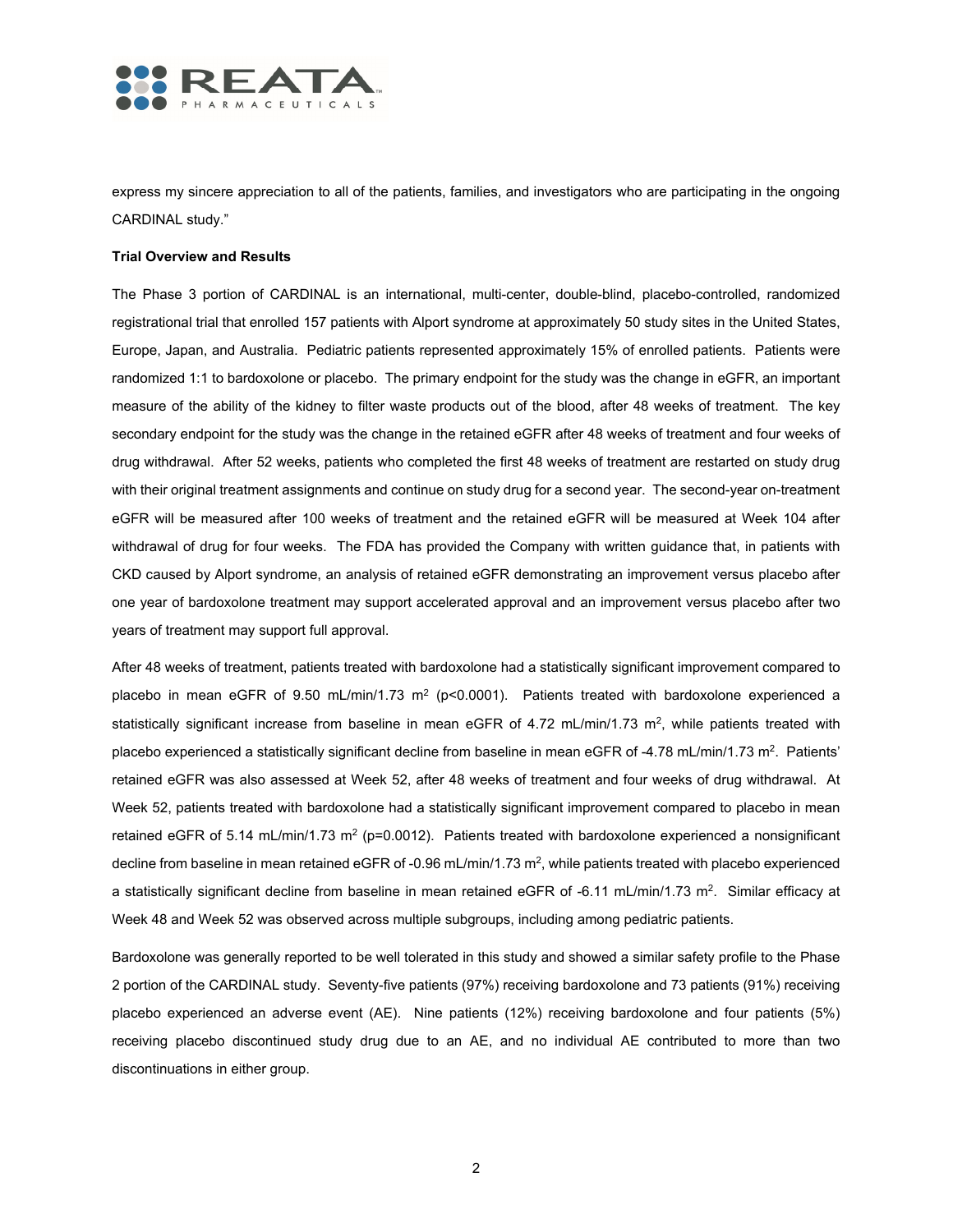

express my sincere appreciation to all of the patients, families, and investigators who are participating in the ongoing CARDINAL study."

## **Trial Overview and Results**

The Phase 3 portion of CARDINAL is an international, multi-center, double-blind, placebo-controlled, randomized registrational trial that enrolled 157 patients with Alport syndrome at approximately 50 study sites in the United States, Europe, Japan, and Australia. Pediatric patients represented approximately 15% of enrolled patients. Patients were randomized 1:1 to bardoxolone or placebo. The primary endpoint for the study was the change in eGFR, an important measure of the ability of the kidney to filter waste products out of the blood, after 48 weeks of treatment. The key secondary endpoint for the study was the change in the retained eGFR after 48 weeks of treatment and four weeks of drug withdrawal. After 52 weeks, patients who completed the first 48 weeks of treatment are restarted on study drug with their original treatment assignments and continue on study drug for a second year. The second-year on-treatment eGFR will be measured after 100 weeks of treatment and the retained eGFR will be measured at Week 104 after withdrawal of drug for four weeks. The FDA has provided the Company with written guidance that, in patients with CKD caused by Alport syndrome, an analysis of retained eGFR demonstrating an improvement versus placebo after one year of bardoxolone treatment may support accelerated approval and an improvement versus placebo after two years of treatment may support full approval.

After 48 weeks of treatment, patients treated with bardoxolone had a statistically significant improvement compared to placebo in mean eGFR of 9.50 mL/min/1.73 m<sup>2</sup> (p<0.0001). Patients treated with bardoxolone experienced a statistically significant increase from baseline in mean eGFR of 4.72 mL/min/1.73 m<sup>2</sup>, while patients treated with placebo experienced a statistically significant decline from baseline in mean eGFR of -4.78 mL/min/1.73 m<sup>2</sup>. Patients' retained eGFR was also assessed at Week 52, after 48 weeks of treatment and four weeks of drug withdrawal. At Week 52, patients treated with bardoxolone had a statistically significant improvement compared to placebo in mean retained eGFR of 5.14 mL/min/1.73 m<sup>2</sup> (p=0.0012). Patients treated with bardoxolone experienced a nonsignificant decline from baseline in mean retained eGFR of -0.96 mL/min/1.73 m<sup>2</sup>, while patients treated with placebo experienced a statistically significant decline from baseline in mean retained eGFR of -6.11 mL/min/1.73 m<sup>2</sup>. Similar efficacy at Week 48 and Week 52 was observed across multiple subgroups, including among pediatric patients.

Bardoxolone was generally reported to be well tolerated in this study and showed a similar safety profile to the Phase 2 portion of the CARDINAL study. Seventy-five patients (97%) receiving bardoxolone and 73 patients (91%) receiving placebo experienced an adverse event (AE). Nine patients (12%) receiving bardoxolone and four patients (5%) receiving placebo discontinued study drug due to an AE, and no individual AE contributed to more than two discontinuations in either group.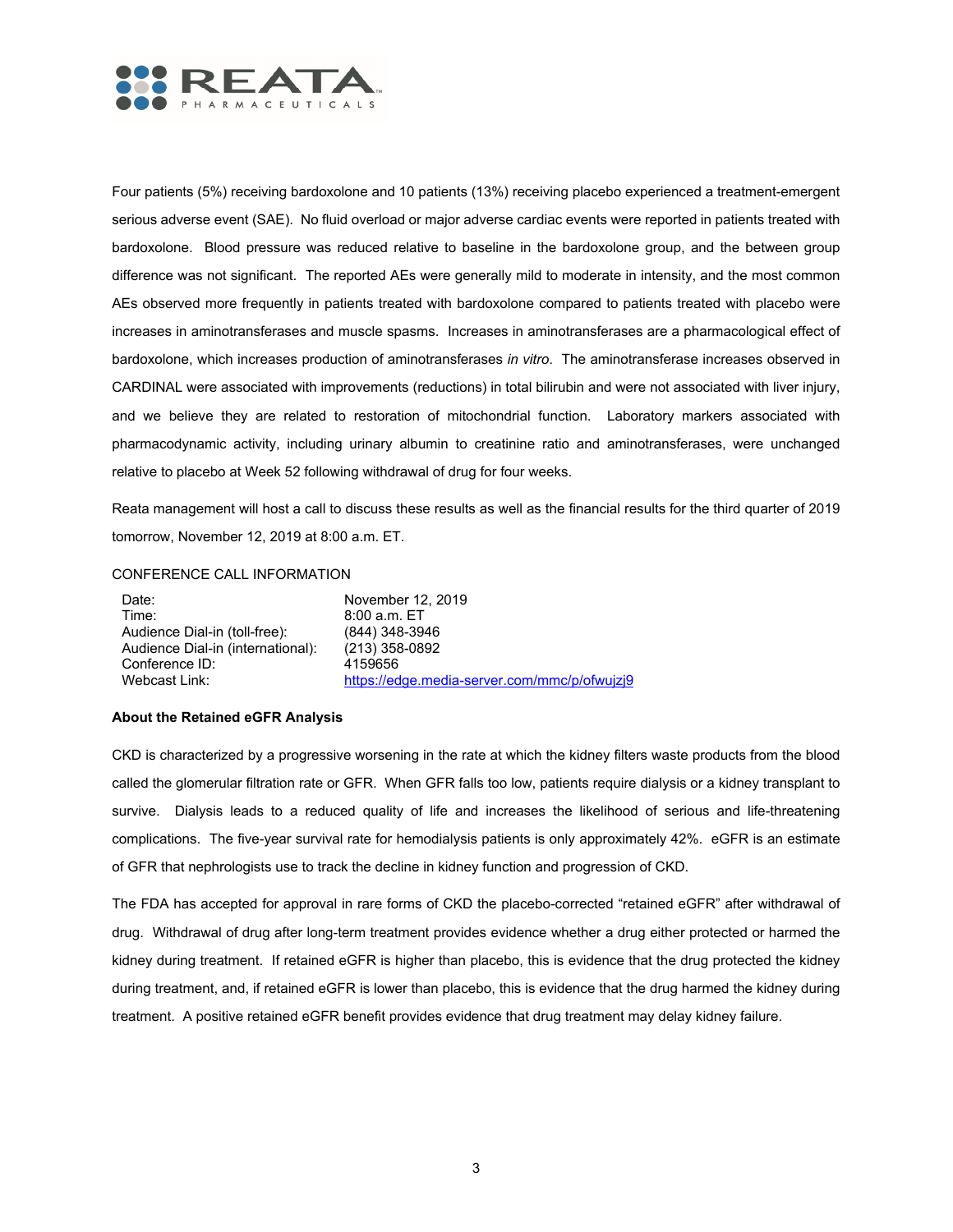

Four patients (5%) receiving bardoxolone and 10 patients (13%) receiving placebo experienced a treatment-emergent serious adverse event (SAE). No fluid overload or major adverse cardiac events were reported in patients treated with bardoxolone. Blood pressure was reduced relative to baseline in the bardoxolone group, and the between group difference was not significant. The reported AEs were generally mild to moderate in intensity, and the most common AEs observed more frequently in patients treated with bardoxolone compared to patients treated with placebo were increases in aminotransferases and muscle spasms. Increases in aminotransferases are a pharmacological effect of bardoxolone, which increases production of aminotransferases *in vitro*. The aminotransferase increases observed in CARDINAL were associated with improvements (reductions) in total bilirubin and were not associated with liver injury, and we believe they are related to restoration of mitochondrial function. Laboratory markers associated with pharmacodynamic activity, including urinary albumin to creatinine ratio and aminotransferases, were unchanged relative to placebo at Week 52 following withdrawal of drug for four weeks.

Reata management will host a call to discuss these results as well as the financial results for the third quarter of 2019 tomorrow, November 12, 2019 at 8:00 a.m. ET.

# CONFERENCE CALL INFORMATION

| Date:                             | November 12, 2019                            |
|-----------------------------------|----------------------------------------------|
| Time:                             | $8:00$ a.m. ET                               |
| Audience Dial-in (toll-free):     | (844) 348-3946                               |
| Audience Dial-in (international): | (213) 358-0892                               |
| Conference ID:                    | 4159656                                      |
| Webcast Link:                     | https://edge.media-server.com/mmc/p/ofwujzj9 |

## **About the Retained eGFR Analysis**

CKD is characterized by a progressive worsening in the rate at which the kidney filters waste products from the blood called the glomerular filtration rate or GFR. When GFR falls too low, patients require dialysis or a kidney transplant to survive. Dialysis leads to a reduced quality of life and increases the likelihood of serious and life-threatening complications. The five-year survival rate for hemodialysis patients is only approximately 42%. eGFR is an estimate of GFR that nephrologists use to track the decline in kidney function and progression of CKD.

The FDA has accepted for approval in rare forms of CKD the placebo-corrected "retained eGFR" after withdrawal of drug. Withdrawal of drug after long-term treatment provides evidence whether a drug either protected or harmed the kidney during treatment. If retained eGFR is higher than placebo, this is evidence that the drug protected the kidney during treatment, and, if retained eGFR is lower than placebo, this is evidence that the drug harmed the kidney during treatment. A positive retained eGFR benefit provides evidence that drug treatment may delay kidney failure.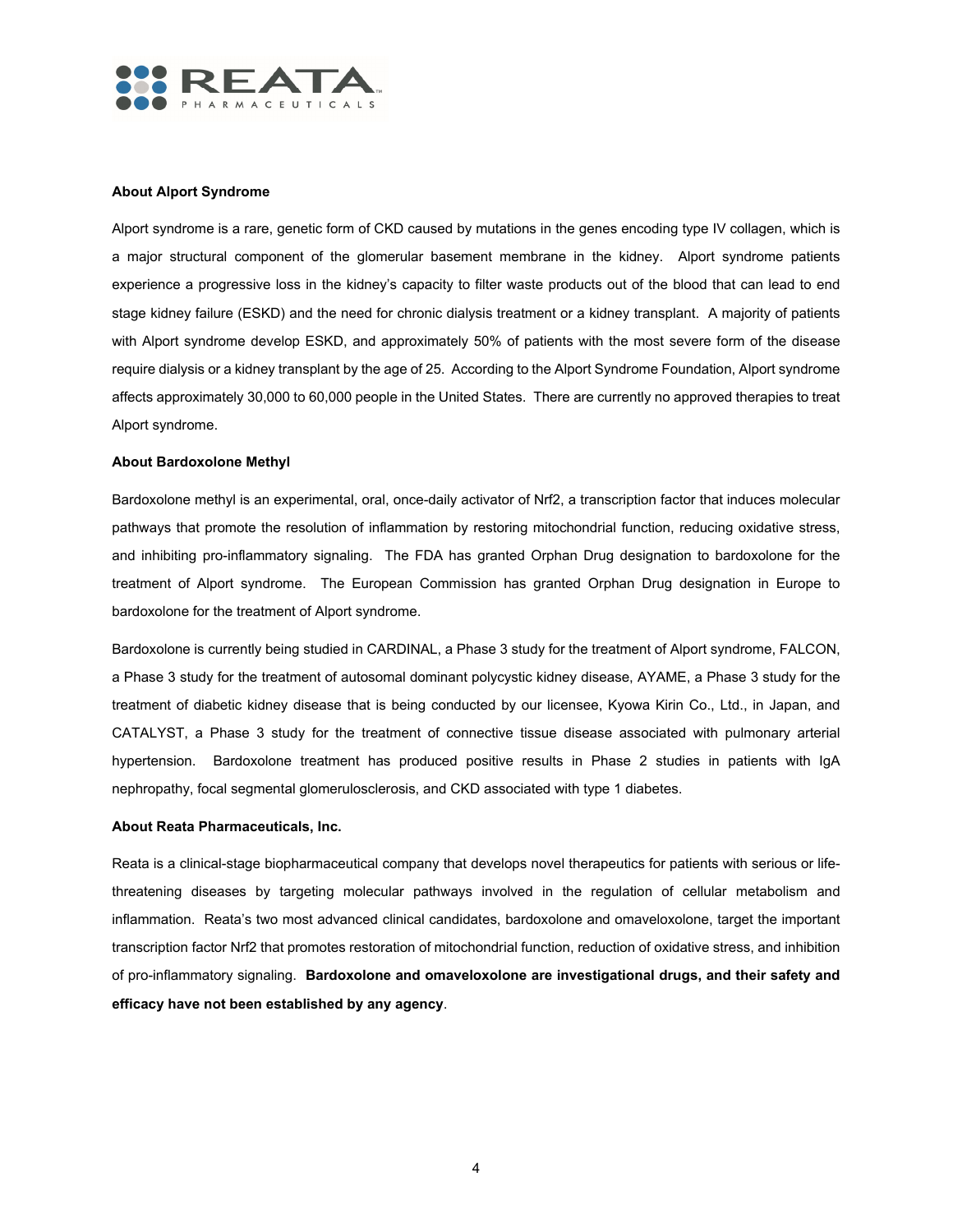

## **About Alport Syndrome**

Alport syndrome is a rare, genetic form of CKD caused by mutations in the genes encoding type IV collagen, which is a major structural component of the glomerular basement membrane in the kidney. Alport syndrome patients experience a progressive loss in the kidney's capacity to filter waste products out of the blood that can lead to end stage kidney failure (ESKD) and the need for chronic dialysis treatment or a kidney transplant. A majority of patients with Alport syndrome develop ESKD, and approximately 50% of patients with the most severe form of the disease require dialysis or a kidney transplant by the age of 25. According to the Alport Syndrome Foundation, Alport syndrome affects approximately 30,000 to 60,000 people in the United States. There are currently no approved therapies to treat Alport syndrome.

#### **About Bardoxolone Methyl**

Bardoxolone methyl is an experimental, oral, once-daily activator of Nrf2, a transcription factor that induces molecular pathways that promote the resolution of inflammation by restoring mitochondrial function, reducing oxidative stress, and inhibiting pro-inflammatory signaling. The FDA has granted Orphan Drug designation to bardoxolone for the treatment of Alport syndrome. The European Commission has granted Orphan Drug designation in Europe to bardoxolone for the treatment of Alport syndrome.

Bardoxolone is currently being studied in CARDINAL, a Phase 3 study for the treatment of Alport syndrome, FALCON, a Phase 3 study for the treatment of autosomal dominant polycystic kidney disease, AYAME, a Phase 3 study for the treatment of diabetic kidney disease that is being conducted by our licensee, Kyowa Kirin Co., Ltd., in Japan, and CATALYST, a Phase 3 study for the treatment of connective tissue disease associated with pulmonary arterial hypertension. Bardoxolone treatment has produced positive results in Phase 2 studies in patients with IgA nephropathy, focal segmental glomerulosclerosis, and CKD associated with type 1 diabetes.

#### **About Reata Pharmaceuticals, Inc.**

Reata is a clinical-stage biopharmaceutical company that develops novel therapeutics for patients with serious or lifethreatening diseases by targeting molecular pathways involved in the regulation of cellular metabolism and inflammation. Reata's two most advanced clinical candidates, bardoxolone and omaveloxolone, target the important transcription factor Nrf2 that promotes restoration of mitochondrial function, reduction of oxidative stress, and inhibition of pro-inflammatory signaling. **Bardoxolone and omaveloxolone are investigational drugs, and their safety and efficacy have not been established by any agency**.